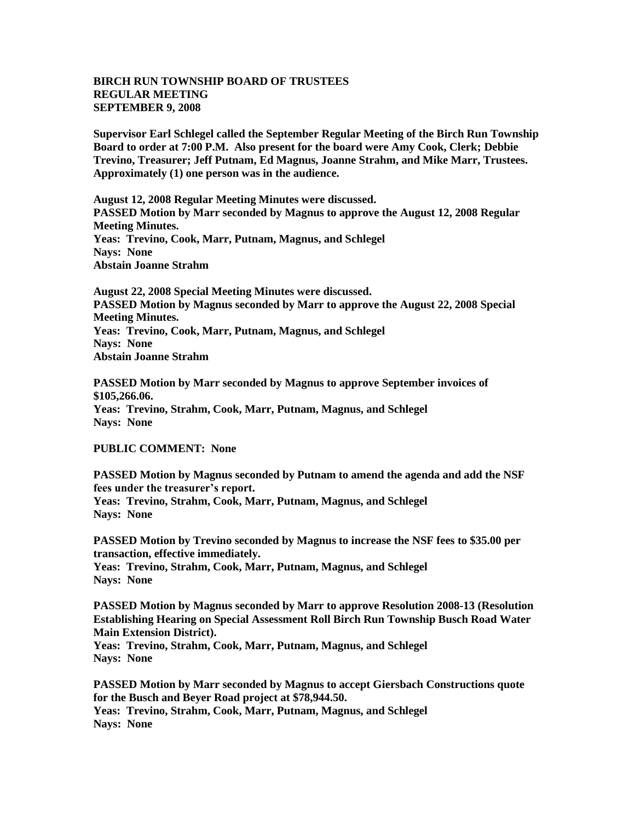## **BIRCH RUN TOWNSHIP BOARD OF TRUSTEES REGULAR MEETING SEPTEMBER 9, 2008**

**Supervisor Earl Schlegel called the September Regular Meeting of the Birch Run Township Board to order at 7:00 P.M. Also present for the board were Amy Cook, Clerk; Debbie Trevino, Treasurer; Jeff Putnam, Ed Magnus, Joanne Strahm, and Mike Marr, Trustees. Approximately (1) one person was in the audience.** 

**August 12, 2008 Regular Meeting Minutes were discussed. PASSED Motion by Marr seconded by Magnus to approve the August 12, 2008 Regular Meeting Minutes. Yeas: Trevino, Cook, Marr, Putnam, Magnus, and Schlegel Nays: None Abstain Joanne Strahm**

**August 22, 2008 Special Meeting Minutes were discussed. PASSED Motion by Magnus seconded by Marr to approve the August 22, 2008 Special Meeting Minutes. Yeas: Trevino, Cook, Marr, Putnam, Magnus, and Schlegel Nays: None Abstain Joanne Strahm**

**PASSED Motion by Marr seconded by Magnus to approve September invoices of \$105,266.06. Yeas: Trevino, Strahm, Cook, Marr, Putnam, Magnus, and Schlegel Nays: None** 

## **PUBLIC COMMENT: None**

**PASSED Motion by Magnus seconded by Putnam to amend the agenda and add the NSF fees under the treasurer's report. Yeas: Trevino, Strahm, Cook, Marr, Putnam, Magnus, and Schlegel Nays: None** 

**PASSED Motion by Trevino seconded by Magnus to increase the NSF fees to \$35.00 per transaction, effective immediately. Yeas: Trevino, Strahm, Cook, Marr, Putnam, Magnus, and Schlegel Nays: None** 

**PASSED Motion by Magnus seconded by Marr to approve Resolution 2008-13 (Resolution Establishing Hearing on Special Assessment Roll Birch Run Township Busch Road Water Main Extension District).**

**Yeas: Trevino, Strahm, Cook, Marr, Putnam, Magnus, and Schlegel Nays: None** 

**PASSED Motion by Marr seconded by Magnus to accept Giersbach Constructions quote for the Busch and Beyer Road project at \$78,944.50. Yeas: Trevino, Strahm, Cook, Marr, Putnam, Magnus, and Schlegel Nays: None**